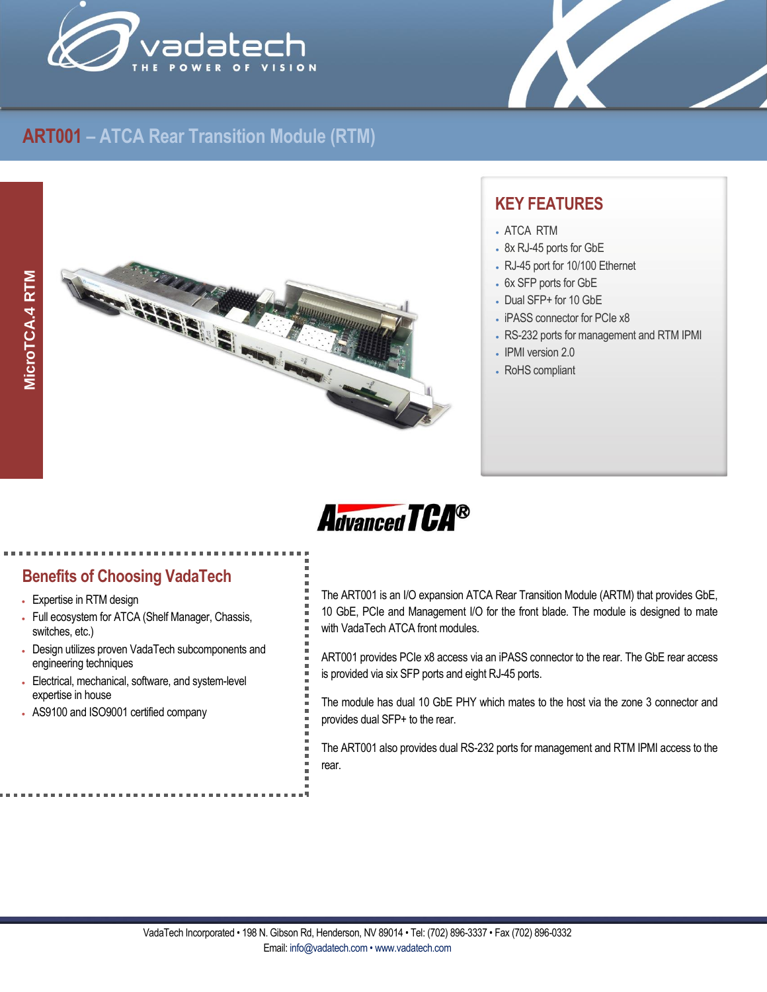

X

# **ART001 – ATCA Rear Transition Module (RTM)**



## **KEY FEATURES**

- ATCA RTM
- 8x RJ-45 ports for GbE
- RJ-45 port for 10/100 Ethernet
- 6x SFP ports for GbE
- Dual SFP+ for 10 GbE
- iPASS connector for PCIe x8
- RS-232 ports for management and RTM IPMI
- IPMI version 2.0
- RoHS compliant



- Expertise in RTM design
- Full ecosystem for ATCA (Shelf Manager, Chassis, switches, etc.)
- Design utilizes proven VadaTech subcomponents and engineering techniques
- Electrical, mechanical, software, and system-level expertise in house
- AS9100 and ISO9001 certified company

The ART001 is an I/O expansion ATCA Rear Transition Module (ARTM) that provides GbE, 10 GbE, PCIe and Management I/O for the front blade. The module is designed to mate with VadaTech ATCA front modules.

ART001 provides PCIe x8 access via an iPASS connector to the rear. The GbE rear access is provided via six SFP ports and eight RJ-45 ports.

The module has dual 10 GbE PHY which mates to the host via the zone 3 connector and provides dual SFP+ to the rear.

The ART001 also provides dual RS-232 ports for management and RTM IPMI access to the rear.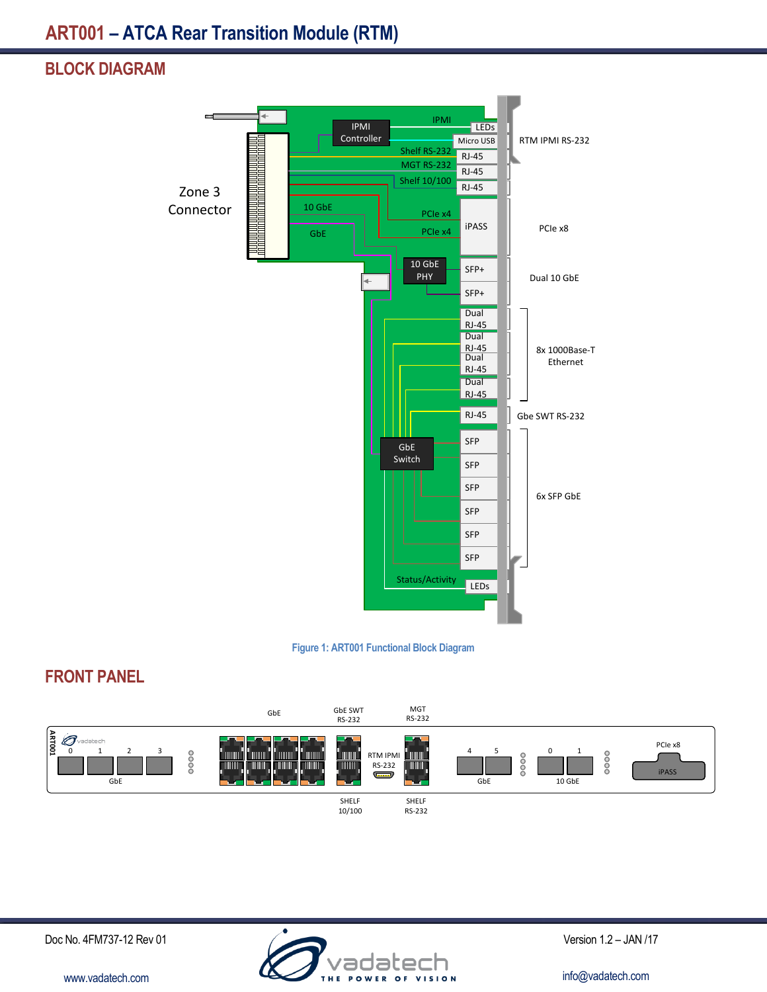## **BLOCK DIAGRAM**





# **FRONT PANEL**



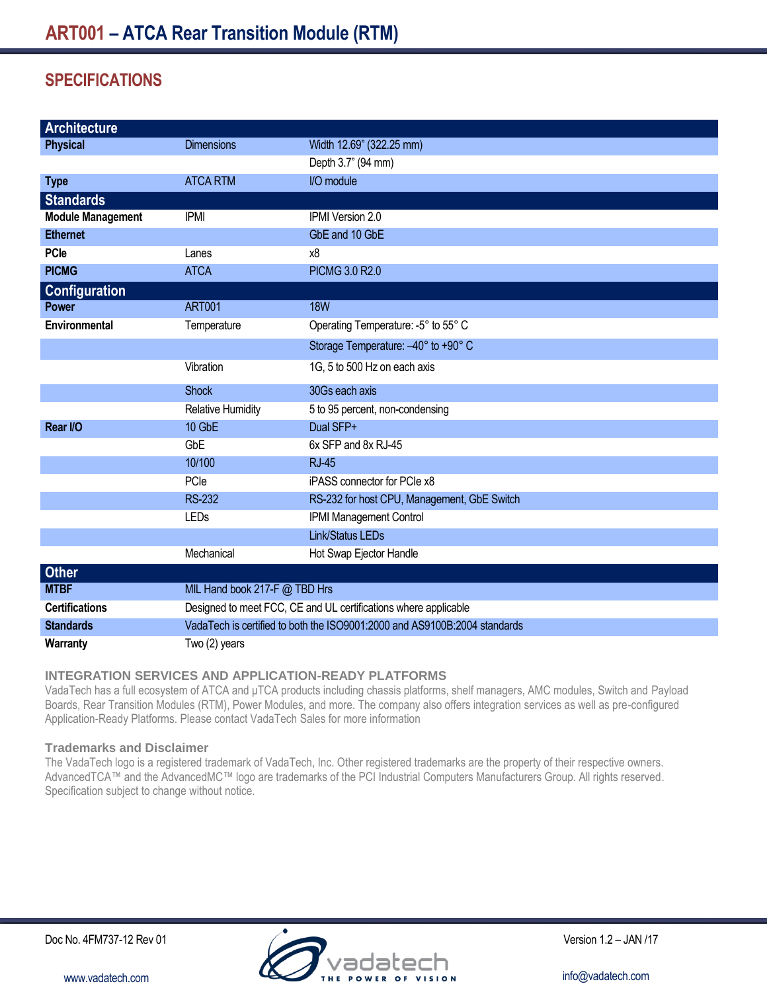# **SPECIFICATIONS**

| <b>Architecture</b>      |                                                                           |                                             |
|--------------------------|---------------------------------------------------------------------------|---------------------------------------------|
| <b>Physical</b>          | <b>Dimensions</b>                                                         | Width 12.69" (322.25 mm)                    |
|                          |                                                                           | Depth 3.7" (94 mm)                          |
| <b>Type</b>              | <b>ATCA RTM</b>                                                           | I/O module                                  |
| <b>Standards</b>         |                                                                           |                                             |
| <b>Module Management</b> | <b>IPMI</b>                                                               | IPMI Version 2.0                            |
| <b>Ethernet</b>          |                                                                           | GbE and 10 GbE                              |
| <b>PCle</b>              | Lanes                                                                     | x8                                          |
| <b>PICMG</b>             | <b>ATCA</b>                                                               | PICMG 3.0 R2.0                              |
| <b>Configuration</b>     |                                                                           |                                             |
| <b>Power</b>             | <b>ART001</b>                                                             | <b>18W</b>                                  |
| Environmental            | Temperature                                                               | Operating Temperature: -5° to 55° C         |
|                          |                                                                           | Storage Temperature: -40° to +90° C         |
|                          | Vibration                                                                 | 1G, 5 to 500 Hz on each axis                |
|                          | <b>Shock</b>                                                              | 30Gs each axis                              |
|                          | <b>Relative Humidity</b>                                                  | 5 to 95 percent, non-condensing             |
| Rear I/O                 | 10 GbE                                                                    | Dual SFP+                                   |
|                          | GbE                                                                       | 6x SFP and 8x RJ-45                         |
|                          | 10/100                                                                    | <b>RJ-45</b>                                |
|                          | PCle                                                                      | iPASS connector for PCIe x8                 |
|                          | <b>RS-232</b>                                                             | RS-232 for host CPU, Management, GbE Switch |
|                          | LEDs                                                                      | IPMI Management Control                     |
|                          |                                                                           | <b>Link/Status LEDs</b>                     |
|                          | Mechanical                                                                | Hot Swap Ejector Handle                     |
| <b>Other</b>             |                                                                           |                                             |
| <b>MTBF</b>              | MIL Hand book 217-F @ TBD Hrs                                             |                                             |
| <b>Certifications</b>    | Designed to meet FCC, CE and UL certifications where applicable           |                                             |
| <b>Standards</b>         | VadaTech is certified to both the ISO9001:2000 and AS9100B:2004 standards |                                             |
| Warranty                 | Two (2) years                                                             |                                             |

### **INTEGRATION SERVICES AND APPLICATION-READY PLATFORMS**

VadaTech has a full ecosystem of ATCA and μTCA products including chassis platforms, shelf managers, AMC modules, Switch and Payload Boards, Rear Transition Modules (RTM), Power Modules, and more. The company also offers integration services as well as pre-configured Application-Ready Platforms. Please contact VadaTech Sales for more information

#### **Trademarks and Disclaimer**

The VadaTech logo is a registered trademark of VadaTech, Inc. Other registered trademarks are the property of their respective owners. AdvancedTCA™ and the AdvancedMC™ logo are trademarks of the PCI Industrial Computers Manufacturers Group. All rights reserved. Specification subject to change without notice.